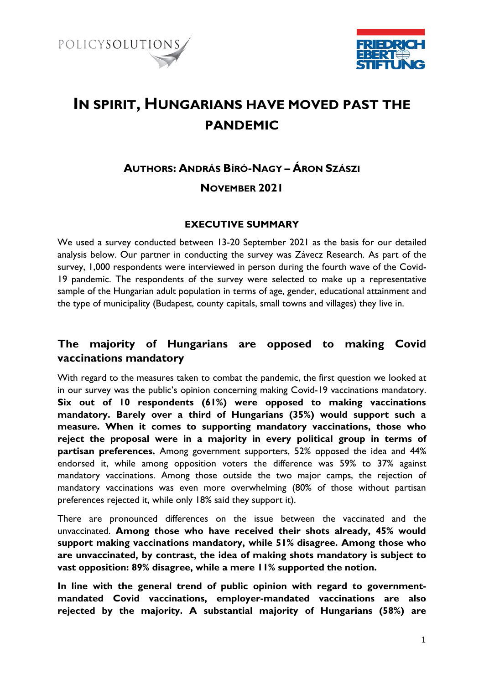



# **IN SPIRIT, HUNGARIANS HAVE MOVED PAST THE PANDEMIC**

# **AUTHORS: ANDRÁS BÍRÓ-NAGY – ÁRON SZÁSZI NOVEMBER 2021**

#### **EXECUTIVE SUMMARY**

We used a survey conducted between 13-20 September 2021 as the basis for our detailed analysis below. Our partner in conducting the survey was Závecz Research. As part of the survey, 1,000 respondents were interviewed in person during the fourth wave of the Covid-19 pandemic. The respondents of the survey were selected to make up a representative sample of the Hungarian adult population in terms of age, gender, educational attainment and the type of municipality (Budapest, county capitals, small towns and villages) they live in.

## **The majority of Hungarians are opposed to making Covid vaccinations mandatory**

With regard to the measures taken to combat the pandemic, the first question we looked at in our survey was the public's opinion concerning making Covid-19 vaccinations mandatory. **Six out of 10 respondents (61%) were opposed to making vaccinations mandatory. Barely over a third of Hungarians (35%) would support such a measure. When it comes to supporting mandatory vaccinations, those who reject the proposal were in a majority in every political group in terms of partisan preferences.** Among government supporters, 52% opposed the idea and 44% endorsed it, while among opposition voters the difference was 59% to 37% against mandatory vaccinations. Among those outside the two major camps, the rejection of mandatory vaccinations was even more overwhelming (80% of those without partisan preferences rejected it, while only 18% said they support it).

There are pronounced differences on the issue between the vaccinated and the unvaccinated. **Among those who have received their shots already, 45% would support making vaccinations mandatory, while 51% disagree. Among those who are unvaccinated, by contrast, the idea of making shots mandatory is subject to vast opposition: 89% disagree, while a mere 11% supported the notion.** 

**In line with the general trend of public opinion with regard to governmentmandated Covid vaccinations, employer-mandated vaccinations are also rejected by the majority. A substantial majority of Hungarians (58%) are**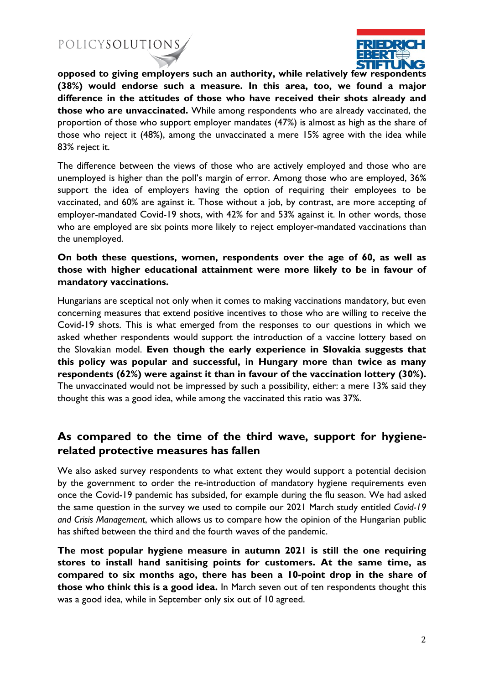

**opposed to giving employers such an authority, while relatively few respondents (38%) would endorse such a measure. In this area, too, we found a major difference in the attitudes of those who have received their shots already and those who are unvaccinated.** While among respondents who are already vaccinated, the proportion of those who support employer mandates (47%) is almost as high as the share of those who reject it (48%), among the unvaccinated a mere 15% agree with the idea while 83% reject it.

The difference between the views of those who are actively employed and those who are unemployed is higher than the poll's margin of error. Among those who are employed, 36% support the idea of employers having the option of requiring their employees to be vaccinated, and 60% are against it. Those without a job, by contrast, are more accepting of employer-mandated Covid-19 shots, with 42% for and 53% against it. In other words, those who are employed are six points more likely to reject employer-mandated vaccinations than the unemployed.

#### **On both these questions, women, respondents over the age of 60, as well as those with higher educational attainment were more likely to be in favour of mandatory vaccinations.**

Hungarians are sceptical not only when it comes to making vaccinations mandatory, but even concerning measures that extend positive incentives to those who are willing to receive the Covid-19 shots. This is what emerged from the responses to our questions in which we asked whether respondents would support the introduction of a vaccine lottery based on the Slovakian model. **Even though the early experience in Slovakia suggests that this policy was popular and successful, in Hungary more than twice as many respondents (62%) were against it than in favour of the vaccination lottery (30%).** The unvaccinated would not be impressed by such a possibility, either: a mere 13% said they thought this was a good idea, while among the vaccinated this ratio was 37%.

### **As compared to the time of the third wave, support for hygienerelated protective measures has fallen**

We also asked survey respondents to what extent they would support a potential decision by the government to order the re-introduction of mandatory hygiene requirements even once the Covid-19 pandemic has subsided, for example during the flu season. We had asked the same question in the survey we used to compile our 2021 March study entitled *Covid-19 and Crisis Management*, which allows us to compare how the opinion of the Hungarian public has shifted between the third and the fourth waves of the pandemic.

**The most popular hygiene measure in autumn 2021 is still the one requiring stores to install hand sanitising points for customers. At the same time, as compared to six months ago, there has been a 10-point drop in the share of those who think this is a good idea.** In March seven out of ten respondents thought this was a good idea, while in September only six out of 10 agreed.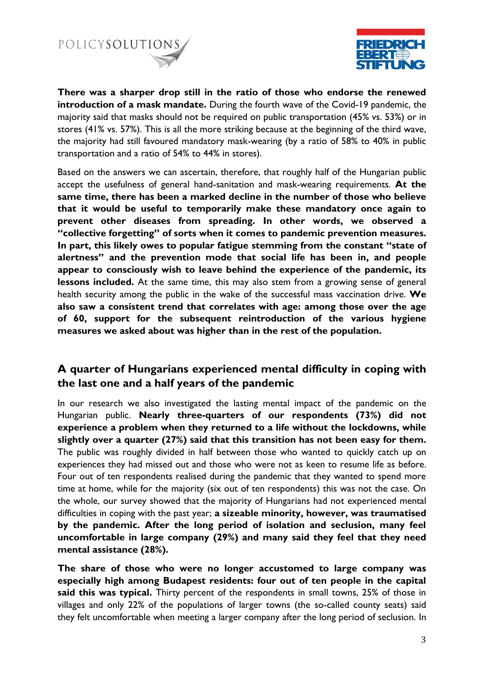



**There was a sharper drop still in the ratio of those who endorse the renewed introduction of a mask mandate.** During the fourth wave of the Covid-19 pandemic, the majority said that masks should not be required on public transportation (45% vs. 53%) or in stores (41% vs. 57%). This is all the more striking because at the beginning of the third wave, the majority had still favoured mandatory mask-wearing (by a ratio of 58% to 40% in public transportation and a ratio of 54% to 44% in stores).

Based on the answers we can ascertain, therefore, that roughly half of the Hungarian public accept the usefulness of general hand-sanitation and mask-wearing requirements. **At the same time, there has been a marked decline in the number of those who believe that it would be useful to temporarily make these mandatory once again to prevent other diseases from spreading. In other words, we observed a "collective forgetting" of sorts when it comes to pandemic prevention measures. In part, this likely owes to popular fatigue stemming from the constant "state of alertness" and the prevention mode that social life has been in, and people appear to consciously wish to leave behind the experience of the pandemic, its lessons included.** At the same time, this may also stem from a growing sense of general health security among the public in the wake of the successful mass vaccination drive. **We also saw a consistent trend that correlates with age: among those over the age of 60, support for the subsequent reintroduction of the various hygiene measures we asked about was higher than in the rest of the population.**

### **A quarter of Hungarians experienced mental difficulty in coping with the last one and a half years of the pandemic**

In our research we also investigated the lasting mental impact of the pandemic on the Hungarian public. **Nearly three-quarters of our respondents (73%) did not experience a problem when they returned to a life without the lockdowns, while slightly over a quarter (27%) said that this transition has not been easy for them.**  The public was roughly divided in half between those who wanted to quickly catch up on experiences they had missed out and those who were not as keen to resume life as before. Four out of ten respondents realised during the pandemic that they wanted to spend more time at home, while for the majority (six out of ten respondents) this was not the case. On the whole, our survey showed that the majority of Hungarians had not experienced mental difficulties in coping with the past year; **a sizeable minority, however, was traumatised by the pandemic. After the long period of isolation and seclusion, many feel uncomfortable in large company (29%) and many said they feel that they need mental assistance (28%).**

**The share of those who were no longer accustomed to large company was especially high among Budapest residents: four out of ten people in the capital said this was typical.** Thirty percent of the respondents in small towns, 25% of those in villages and only 22% of the populations of larger towns (the so-called county seats) said they felt uncomfortable when meeting a larger company after the long period of seclusion. In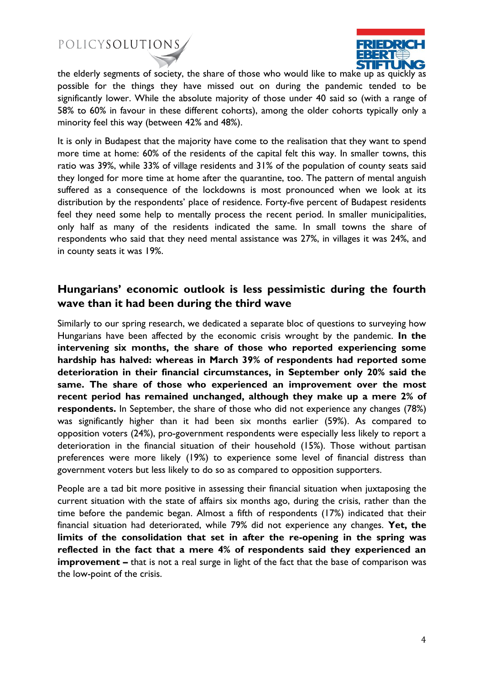

the elderly segments of society, the share of those who would like to make up as quickly as possible for the things they have missed out on during the pandemic tended to be significantly lower. While the absolute majority of those under 40 said so (with a range of 58% to 60% in favour in these different cohorts), among the older cohorts typically only a minority feel this way (between 42% and 48%).

It is only in Budapest that the majority have come to the realisation that they want to spend more time at home: 60% of the residents of the capital felt this way. In smaller towns, this ratio was 39%, while 33% of village residents and 31% of the population of county seats said they longed for more time at home after the quarantine, too. The pattern of mental anguish suffered as a consequence of the lockdowns is most pronounced when we look at its distribution by the respondents' place of residence. Forty-five percent of Budapest residents feel they need some help to mentally process the recent period. In smaller municipalities, only half as many of the residents indicated the same. In small towns the share of respondents who said that they need mental assistance was 27%, in villages it was 24%, and in county seats it was 19%.

### **Hungarians' economic outlook is less pessimistic during the fourth wave than it had been during the third wave**

Similarly to our spring research, we dedicated a separate bloc of questions to surveying how Hungarians have been affected by the economic crisis wrought by the pandemic. **In the intervening six months, the share of those who reported experiencing some hardship has halved: whereas in March 39% of respondents had reported some deterioration in their financial circumstances, in September only 20% said the same. The share of those who experienced an improvement over the most recent period has remained unchanged, although they make up a mere 2% of respondents.** In September, the share of those who did not experience any changes (78%) was significantly higher than it had been six months earlier (59%). As compared to opposition voters (24%), pro-government respondents were especially less likely to report a deterioration in the financial situation of their household (15%). Those without partisan preferences were more likely (19%) to experience some level of financial distress than government voters but less likely to do so as compared to opposition supporters.

People are a tad bit more positive in assessing their financial situation when juxtaposing the current situation with the state of affairs six months ago, during the crisis, rather than the time before the pandemic began. Almost a fifth of respondents (17%) indicated that their financial situation had deteriorated, while 79% did not experience any changes. **Yet, the limits of the consolidation that set in after the re-opening in the spring was reflected in the fact that a mere 4% of respondents said they experienced an improvement** – that is not a real surge in light of the fact that the base of comparison was the low-point of the crisis.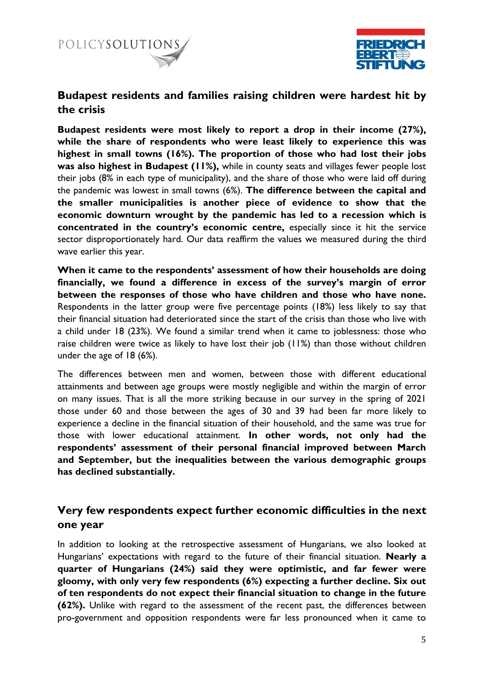



#### **Budapest residents and families raising children were hardest hit by the crisis**

**Budapest residents were most likely to report a drop in their income (27%), while the share of respondents who were least likely to experience this was highest in small towns (16%). The proportion of those who had lost their jobs was also highest in Budapest (11%),** while in county seats and villages fewer people lost their jobs (8% in each type of municipality), and the share of those who were laid off during the pandemic was lowest in small towns (6%). **The difference between the capital and the smaller municipalities is another piece of evidence to show that the economic downturn wrought by the pandemic has led to a recession which is concentrated in the country's economic centre,** especially since it hit the service sector disproportionately hard. Our data reaffirm the values we measured during the third wave earlier this year.

**When it came to the respondents' assessment of how their households are doing financially, we found a difference in excess of the survey's margin of error between the responses of those who have children and those who have none.**  Respondents in the latter group were five percentage points (18%) less likely to say that their financial situation had deteriorated since the start of the crisis than those who live with a child under 18 (23%). We found a similar trend when it came to joblessness: those who raise children were twice as likely to have lost their job (11%) than those without children under the age of 18 (6%).

The differences between men and women, between those with different educational attainments and between age groups were mostly negligible and within the margin of error on many issues. That is all the more striking because in our survey in the spring of 2021 those under 60 and those between the ages of 30 and 39 had been far more likely to experience a decline in the financial situation of their household, and the same was true for those with lower educational attainment. **In other words, not only had the respondents' assessment of their personal financial improved between March and September, but the inequalities between the various demographic groups has declined substantially.** 

#### **Very few respondents expect further economic difficulties in the next one year**

In addition to looking at the retrospective assessment of Hungarians, we also looked at Hungarians' expectations with regard to the future of their financial situation. **Nearly a quarter of Hungarians (24%) said they were optimistic, and far fewer were gloomy, with only very few respondents (6%) expecting a further decline. Six out of ten respondents do not expect their financial situation to change in the future (62%).** Unlike with regard to the assessment of the recent past, the differences between pro-government and opposition respondents were far less pronounced when it came to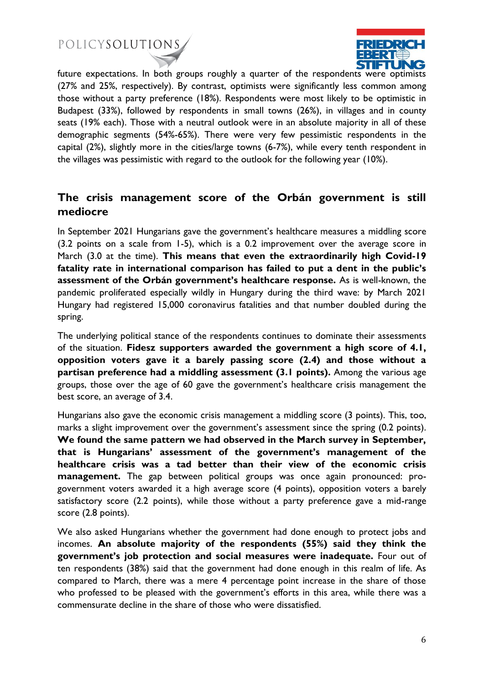

future expectations. In both groups roughly a quarter of the respondents were optimists (27% and 25%, respectively). By contrast, optimists were significantly less common among those without a party preference (18%). Respondents were most likely to be optimistic in Budapest (33%), followed by respondents in small towns (26%), in villages and in county seats (19% each). Those with a neutral outlook were in an absolute majority in all of these demographic segments (54%-65%). There were very few pessimistic respondents in the capital (2%), slightly more in the cities/large towns (6-7%), while every tenth respondent in the villages was pessimistic with regard to the outlook for the following year (10%).

### **The crisis management score of the Orbán government is still mediocre**

In September 2021 Hungarians gave the government's healthcare measures a middling score (3.2 points on a scale from 1-5), which is a 0.2 improvement over the average score in March (3.0 at the time). **This means that even the extraordinarily high Covid-19 fatality rate in international comparison has failed to put a dent in the public's assessment of the Orbán government's healthcare response.** As is well-known, the pandemic proliferated especially wildly in Hungary during the third wave: by March 2021 Hungary had registered 15,000 coronavirus fatalities and that number doubled during the spring.

The underlying political stance of the respondents continues to dominate their assessments of the situation. **Fidesz supporters awarded the government a high score of 4.1, opposition voters gave it a barely passing score (2.4) and those without a partisan preference had a middling assessment (3.1 points).** Among the various age groups, those over the age of 60 gave the government's healthcare crisis management the best score, an average of 3.4.

Hungarians also gave the economic crisis management a middling score (3 points). This, too, marks a slight improvement over the government's assessment since the spring (0.2 points). **We found the same pattern we had observed in the March survey in September, that is Hungarians' assessment of the government's management of the healthcare crisis was a tad better than their view of the economic crisis management.** The gap between political groups was once again pronounced: progovernment voters awarded it a high average score (4 points), opposition voters a barely satisfactory score (2.2 points), while those without a party preference gave a mid-range score (2.8 points).

We also asked Hungarians whether the government had done enough to protect jobs and incomes. **An absolute majority of the respondents (55%) said they think the government's job protection and social measures were inadequate.** Four out of ten respondents (38%) said that the government had done enough in this realm of life. As compared to March, there was a mere 4 percentage point increase in the share of those who professed to be pleased with the government's efforts in this area, while there was a commensurate decline in the share of those who were dissatisfied.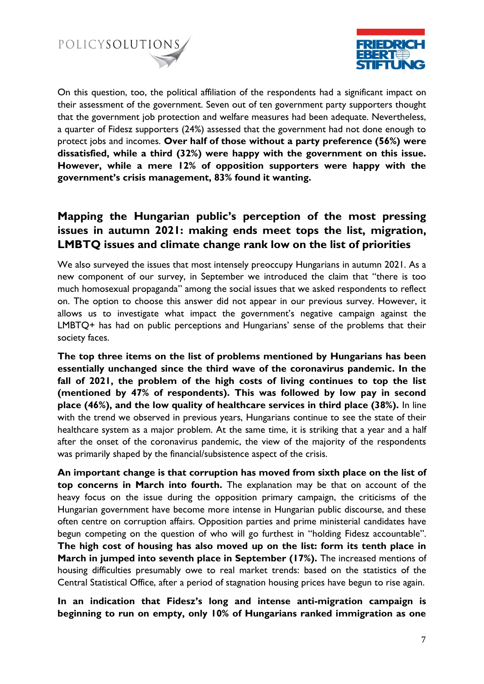



On this question, too, the political affiliation of the respondents had a significant impact on their assessment of the government. Seven out of ten government party supporters thought that the government job protection and welfare measures had been adequate. Nevertheless, a quarter of Fidesz supporters (24%) assessed that the government had not done enough to protect jobs and incomes. **Over half of those without a party preference (56%) were dissatisfied, while a third (32%) were happy with the government on this issue. However, while a mere 12% of opposition supporters were happy with the government's crisis management, 83% found it wanting.** 

## **Mapping the Hungarian public's perception of the most pressing issues in autumn 2021: making ends meet tops the list, migration, LMBTQ issues and climate change rank low on the list of priorities**

We also surveyed the issues that most intensely preoccupy Hungarians in autumn 2021. As a new component of our survey, in September we introduced the claim that "there is too much homosexual propaganda" among the social issues that we asked respondents to reflect on. The option to choose this answer did not appear in our previous survey. However, it allows us to investigate what impact the government's negative campaign against the LMBTQ+ has had on public perceptions and Hungarians' sense of the problems that their society faces.

**The top three items on the list of problems mentioned by Hungarians has been essentially unchanged since the third wave of the coronavirus pandemic. In the fall of 2021, the problem of the high costs of living continues to top the list (mentioned by 47% of respondents). This was followed by low pay in second place (46%), and the low quality of healthcare services in third place (38%).** In line with the trend we observed in previous years, Hungarians continue to see the state of their healthcare system as a major problem. At the same time, it is striking that a year and a half after the onset of the coronavirus pandemic, the view of the majority of the respondents was primarily shaped by the financial/subsistence aspect of the crisis.

**An important change is that corruption has moved from sixth place on the list of top concerns in March into fourth.** The explanation may be that on account of the heavy focus on the issue during the opposition primary campaign, the criticisms of the Hungarian government have become more intense in Hungarian public discourse, and these often centre on corruption affairs. Opposition parties and prime ministerial candidates have begun competing on the question of who will go furthest in "holding Fidesz accountable". **The high cost of housing has also moved up on the list: form its tenth place in March in jumped into seventh place in September (17%).** The increased mentions of housing difficulties presumably owe to real market trends: based on the statistics of the Central Statistical Office, after a period of stagnation housing prices have begun to rise again.

**In an indication that Fidesz's long and intense anti-migration campaign is beginning to run on empty, only 10% of Hungarians ranked immigration as one**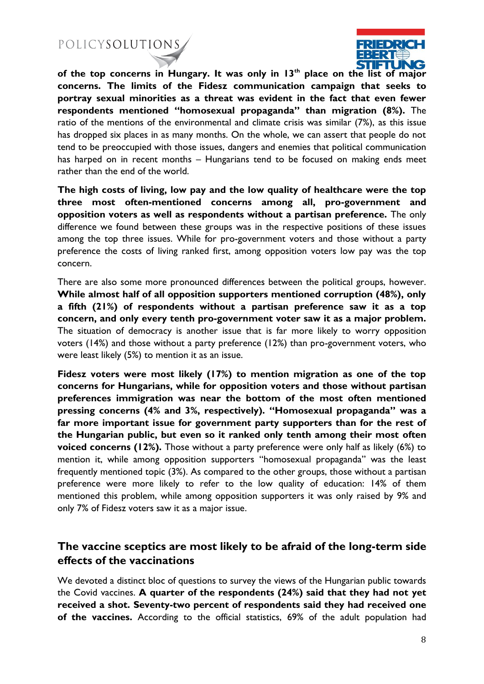

**of the top concerns in Hungary. It was only in 13th place on the list of major concerns. The limits of the Fidesz communication campaign that seeks to portray sexual minorities as a threat was evident in the fact that even fewer respondents mentioned "homosexual propaganda" than migration (8%).** The ratio of the mentions of the environmental and climate crisis was similar (7%), as this issue has dropped six places in as many months. On the whole, we can assert that people do not tend to be preoccupied with those issues, dangers and enemies that political communication has harped on in recent months – Hungarians tend to be focused on making ends meet rather than the end of the world.

**The high costs of living, low pay and the low quality of healthcare were the top three most often-mentioned concerns among all, pro-government and opposition voters as well as respondents without a partisan preference.** The only difference we found between these groups was in the respective positions of these issues among the top three issues. While for pro-government voters and those without a party preference the costs of living ranked first, among opposition voters low pay was the top concern.

There are also some more pronounced differences between the political groups, however. **While almost half of all opposition supporters mentioned corruption (48%), only a fifth (21%) of respondents without a partisan preference saw it as a top concern, and only every tenth pro-government voter saw it as a major problem.**  The situation of democracy is another issue that is far more likely to worry opposition voters (14%) and those without a party preference (12%) than pro-government voters, who were least likely (5%) to mention it as an issue.

**Fidesz voters were most likely (17%) to mention migration as one of the top concerns for Hungarians, while for opposition voters and those without partisan preferences immigration was near the bottom of the most often mentioned pressing concerns (4% and 3%, respectively). "Homosexual propaganda" was a far more important issue for government party supporters than for the rest of the Hungarian public, but even so it ranked only tenth among their most often voiced concerns (12%).** Those without a party preference were only half as likely (6%) to mention it, while among opposition supporters "homosexual propaganda" was the least frequently mentioned topic (3%). As compared to the other groups, those without a partisan preference were more likely to refer to the low quality of education: 14% of them mentioned this problem, while among opposition supporters it was only raised by 9% and only 7% of Fidesz voters saw it as a major issue.

### **The vaccine sceptics are most likely to be afraid of the long-term side effects of the vaccinations**

We devoted a distinct bloc of questions to survey the views of the Hungarian public towards the Covid vaccines. **A quarter of the respondents (24%) said that they had not yet received a shot. Seventy-two percent of respondents said they had received one of the vaccines.** According to the official statistics, 69% of the adult population had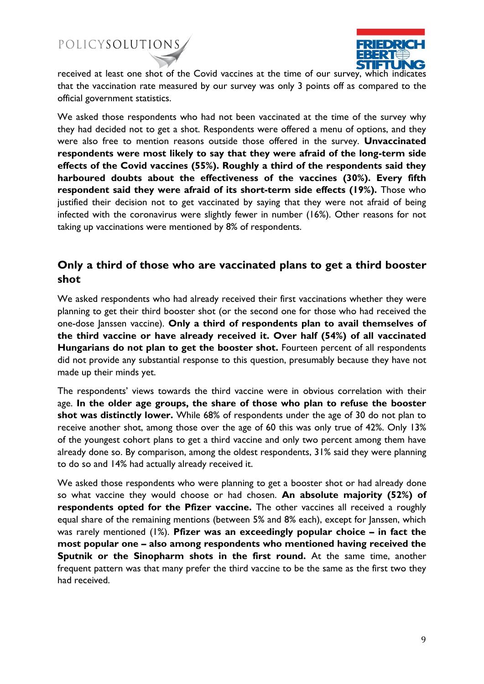

received at least one shot of the Covid vaccines at the time of our survey, which indicates that the vaccination rate measured by our survey was only 3 points off as compared to the official government statistics.

We asked those respondents who had not been vaccinated at the time of the survey why they had decided not to get a shot. Respondents were offered a menu of options, and they were also free to mention reasons outside those offered in the survey. **Unvaccinated respondents were most likely to say that they were afraid of the long-term side effects of the Covid vaccines (55%). Roughly a third of the respondents said they harboured doubts about the effectiveness of the vaccines (30%). Every fifth respondent said they were afraid of its short-term side effects (19%).** Those who justified their decision not to get vaccinated by saying that they were not afraid of being infected with the coronavirus were slightly fewer in number (16%). Other reasons for not taking up vaccinations were mentioned by 8% of respondents.

### **Only a third of those who are vaccinated plans to get a third booster shot**

We asked respondents who had already received their first vaccinations whether they were planning to get their third booster shot (or the second one for those who had received the one-dose Janssen vaccine). **Only a third of respondents plan to avail themselves of the third vaccine or have already received it. Over half (54%) of all vaccinated Hungarians do not plan to get the booster shot.** Fourteen percent of all respondents did not provide any substantial response to this question, presumably because they have not made up their minds yet.

The respondents' views towards the third vaccine were in obvious correlation with their age. **In the older age groups, the share of those who plan to refuse the booster shot was distinctly lower.** While 68% of respondents under the age of 30 do not plan to receive another shot, among those over the age of 60 this was only true of 42%. Only 13% of the youngest cohort plans to get a third vaccine and only two percent among them have already done so. By comparison, among the oldest respondents, 31% said they were planning to do so and 14% had actually already received it.

We asked those respondents who were planning to get a booster shot or had already done so what vaccine they would choose or had chosen. **An absolute majority (52%) of respondents opted for the Pfizer vaccine.** The other vaccines all received a roughly equal share of the remaining mentions (between 5% and 8% each), except for Janssen, which was rarely mentioned (1%). **Pfizer was an exceedingly popular choice – in fact the most popular one – also among respondents who mentioned having received the Sputnik or the Sinopharm shots in the first round.** At the same time, another frequent pattern was that many prefer the third vaccine to be the same as the first two they had received.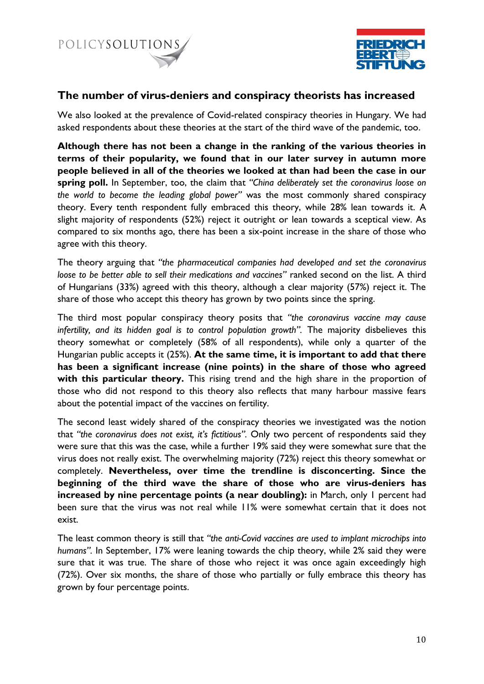



#### **The number of virus-deniers and conspiracy theorists has increased**

We also looked at the prevalence of Covid-related conspiracy theories in Hungary. We had asked respondents about these theories at the start of the third wave of the pandemic, too.

**Although there has not been a change in the ranking of the various theories in terms of their popularity, we found that in our later survey in autumn more people believed in all of the theories we looked at than had been the case in our spring poll.** In September, too, the claim that *"China deliberately set the coronavirus loose on the world to become the leading global power"* was the most commonly shared conspiracy theory. Every tenth respondent fully embraced this theory, while 28% lean towards it. A slight majority of respondents (52%) reject it outright or lean towards a sceptical view. As compared to six months ago, there has been a six-point increase in the share of those who agree with this theory.

The theory arguing that *"the pharmaceutical companies had developed and set the coronavirus loose to be better able to sell their medications and vaccines"* ranked second on the list. A third of Hungarians (33%) agreed with this theory, although a clear majority (57%) reject it. The share of those who accept this theory has grown by two points since the spring.

The third most popular conspiracy theory posits that *"the coronavirus vaccine may cause infertility, and its hidden goal is to control population growth".* The majority disbelieves this theory somewhat or completely (58% of all respondents), while only a quarter of the Hungarian public accepts it (25%). **At the same time, it is important to add that there has been a significant increase (nine points) in the share of those who agreed with this particular theory.** This rising trend and the high share in the proportion of those who did not respond to this theory also reflects that many harbour massive fears about the potential impact of the vaccines on fertility.

The second least widely shared of the conspiracy theories we investigated was the notion that *"the coronavirus does not exist, it's fictitious".* Only two percent of respondents said they were sure that this was the case, while a further 19% said they were somewhat sure that the virus does not really exist. The overwhelming majority (72%) reject this theory somewhat or completely. **Nevertheless, over time the trendline is disconcerting. Since the beginning of the third wave the share of those who are virus-deniers has increased by nine percentage points (a near doubling):** in March, only 1 percent had been sure that the virus was not real while 11% were somewhat certain that it does not exist.

The least common theory is still that *"the anti-Covid vaccines are used to implant microchips into humans".* In September, 17% were leaning towards the chip theory, while 2% said they were sure that it was true. The share of those who reject it was once again exceedingly high (72%). Over six months, the share of those who partially or fully embrace this theory has grown by four percentage points.